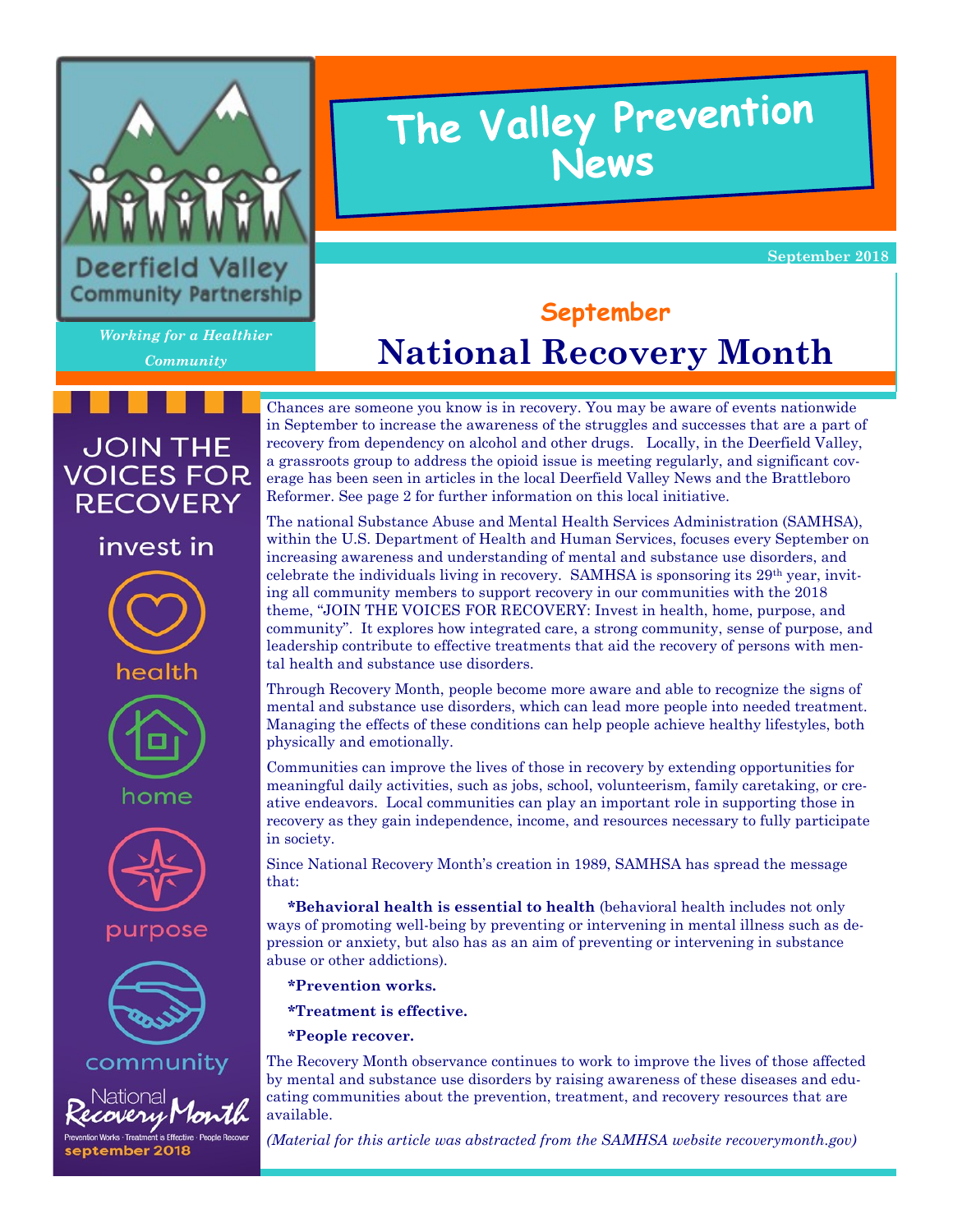

# The Valley Prevention News

**September 2018** 

*Working for a Healthier Community*

**JOIN THE VOICES FOR RECOVERY** 

invest in

health

# **September National Recovery Month**

Chances are someone you know is in recovery. You may be aware of events nationwide in September to increase the awareness of the struggles and successes that are a part of recovery from dependency on alcohol and other drugs. Locally, in the Deerfield Valley, a grassroots group to address the opioid issue is meeting regularly, and significant coverage has been seen in articles in the local Deerfield Valley News and the Brattleboro Reformer. See page 2 for further information on this local initiative.

The national Substance Abuse and Mental Health Services Administration (SAMHSA), within the U.S. Department of Health and Human Services, focuses every September on increasing awareness and understanding of mental and substance use disorders, and celebrate the individuals living in recovery. SAMHSA is sponsoring its  $29<sup>th</sup>$  year, inviting all community members to support recovery in our communities with the 2018 theme, "JOIN THE VOICES FOR RECOVERY: Invest in health, home, purpose, and community". It explores how integrated care, a strong community, sense of purpose, and leadership contribute to effective treatments that aid the recovery of persons with mental health and substance use disorders.

Through Recovery Month, people become more aware and able to recognize the signs of mental and substance use disorders, which can lead more people into needed treatment. Managing the effects of these conditions can help people achieve healthy lifestyles, both physically and emotionally.

Communities can improve the lives of those in recovery by extending opportunities for meaningful daily activities, such as jobs, school, volunteerism, family caretaking, or creative endeavors. Local communities can play an important role in supporting those in recovery as they gain independence, income, and resources necessary to fully participate in society.

Since National Recovery Month's creation in 1989, SAMHSA has spread the message that:

 **\*Behavioral health is essential to health** (behavioral health includes not only ways of promoting well-being by preventing or intervening in mental illness such as depression or anxiety, but also has as an aim of preventing or intervening in substance abuse or other addictions).

- **\*Prevention works.**
- **\*Treatment is effective.**
- **\*People recover.**

The Recovery Month observance continues to work to improve the lives of those affected by mental and substance use disorders by raising awareness of these diseases and educating communities about the prevention, treatment, and recovery resources that are available.

*(Material for this article was abstracted from the SAMHSA website recoverymonth.gov)*





purpose



community

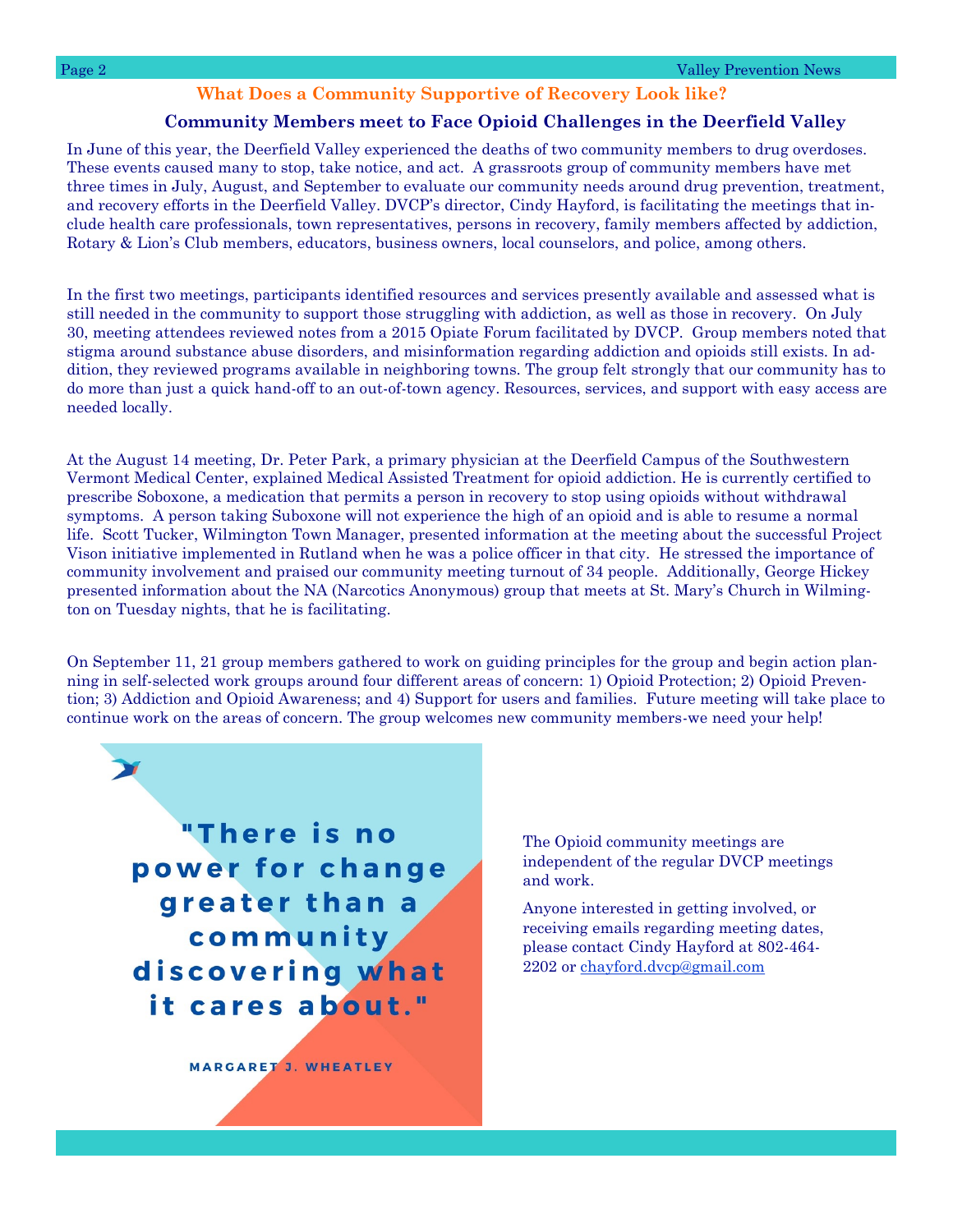### **What Does a Community Supportive of Recovery Look like?**

### **Community Members meet to Face Opioid Challenges in the Deerfield Valley**

In June of this year, the Deerfield Valley experienced the deaths of two community members to drug overdoses. These events caused many to stop, take notice, and act. A grassroots group of community members have met three times in July, August, and September to evaluate our community needs around drug prevention, treatment, and recovery efforts in the Deerfield Valley. DVCP's director, Cindy Hayford, is facilitating the meetings that include health care professionals, town representatives, persons in recovery, family members affected by addiction, Rotary & Lion's Club members, educators, business owners, local counselors, and police, among others.

In the first two meetings, participants identified resources and services presently available and assessed what is still needed in the community to support those struggling with addiction, as well as those in recovery. On July 30, meeting attendees reviewed notes from a 2015 Opiate Forum facilitated by DVCP. Group members noted that stigma around substance abuse disorders, and misinformation regarding addiction and opioids still exists. In addition, they reviewed programs available in neighboring towns. The group felt strongly that our community has to do more than just a quick hand-off to an out-of-town agency. Resources, services, and support with easy access are needed locally.

At the August 14 meeting, Dr. Peter Park, a primary physician at the Deerfield Campus of the Southwestern Vermont Medical Center, explained Medical Assisted Treatment for opioid addiction. He is currently certified to prescribe Soboxone, a medication that permits a person in recovery to stop using opioids without withdrawal symptoms. A person taking Suboxone will not experience the high of an opioid and is able to resume a normal life. Scott Tucker, Wilmington Town Manager, presented information at the meeting about the successful Project Vison initiative implemented in Rutland when he was a police officer in that city. He stressed the importance of community involvement and praised our community meeting turnout of 34 people. Additionally, George Hickey presented information about the NA (Narcotics Anonymous) group that meets at St. Mary's Church in Wilmington on Tuesday nights, that he is facilitating.

On September 11, 21 group members gathered to work on guiding principles for the group and begin action planning in self-selected work groups around four different areas of concern: 1) Opioid Protection; 2) Opioid Prevention; 3) Addiction and Opioid Awareness; and 4) Support for users and families. Future meeting will take place to continue work on the areas of concern. The group welcomes new community members-we need your help!

"There is no power for change greater than a community discovering what it cares about."

MARGARET J. WHEATLEY

The Opioid community meetings are independent of the regular DVCP meetings and work.

Anyone interested in getting involved, or receiving emails regarding meeting dates, please contact Cindy Hayford at 802-464- 2202 or [chayford.dvcp@gmail.com](mailto:chayford.dvcp@gmail.com)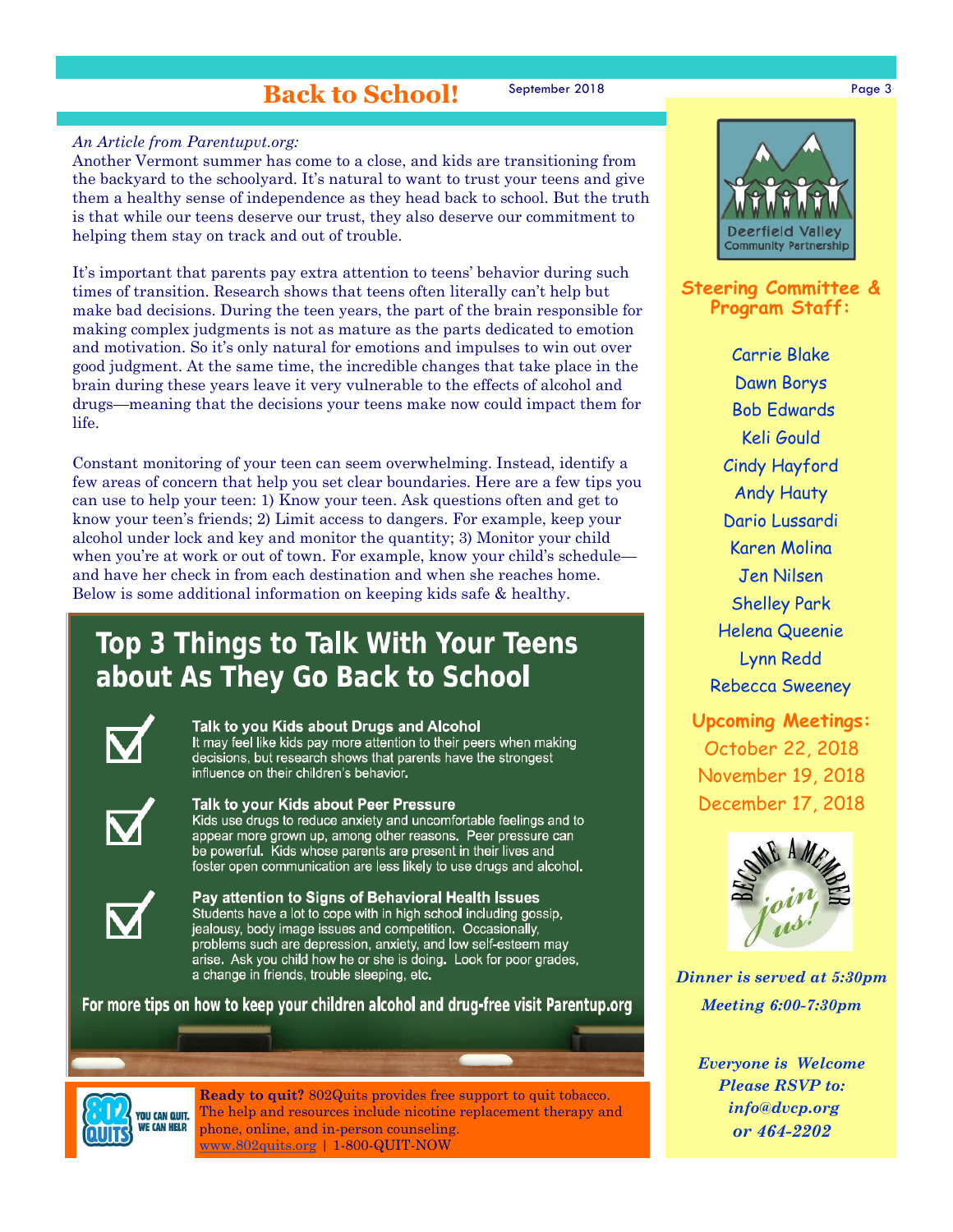### **Back to School!**

September 2018 Page 3

### *An Article from Parentupvt.org:*

Another Vermont summer has come to a close, and kids are transitioning from the backyard to the schoolyard. It's natural to want to trust your teens and give them a healthy sense of independence as they head back to school. But the truth is that while our teens deserve our trust, they also deserve our commitment to helping them stay on track and out of trouble.

It's important that parents pay extra attention to teens' behavior during such times of transition. Research shows that teens often literally can't help but make bad decisions. During the teen years, the part of the brain responsible for making complex judgments is not as mature as the parts dedicated to emotion and motivation. So it's only natural for emotions and impulses to win out over good judgment. At the same time, the incredible changes that take place in the brain during these years leave it very vulnerable to the effects of alcohol and drugs—meaning that the decisions your teens make now could impact them for life.

Constant monitoring of your teen can seem overwhelming. Instead, identify a few areas of concern that help you set clear boundaries. Here are a few tips you can use to help your teen: 1) Know your teen. Ask questions often and get to know your teen's friends; 2) Limit access to dangers. For example, keep your alcohol under lock and key and monitor the quantity; 3) Monitor your child when you're at work or out of town. For example, know your child's schedule and have her check in from each destination and when she reaches home. Below is some additional information on keeping kids safe & healthy.

## **Top 3 Things to Talk With Your Teens** about As They Go Back to School



#### Talk to you Kids about Drugs and Alcohol

It may feel like kids pay more attention to their peers when making decisions, but research shows that parents have the strongest influence on their children's behavior.



#### Talk to your Kids about Peer Pressure

Kids use drugs to reduce anxiety and uncomfortable feelings and to appear more grown up, among other reasons. Peer pressure can be powerful. Kids whose parents are present in their lives and foster open communication are less likely to use drugs and alcohol.



Pay attention to Signs of Behavioral Health Issues Students have a lot to cope with in high school including gossip, jealousy, body image issues and competition. Occasionally, problems such are depression, anxiety, and low self-esteem may arise. Ask you child how he or she is doing. Look for poor grades, a change in friends, trouble sleeping, etc.

For more tips on how to keep your children alcohol and drug-free visit Parentup.org



**Ready to quit?** 802Quits provides free support to quit tobacco. The help and resources include nicotine replacement therapy and phone, online, and in-person counseling. [www.802quits.org](http://802quits.org/) | 1-800-QUIT-NOW



### **Steering Committee & Program Staff:**

Carrie Blake Dawn Borys Bob Edwards Keli Gould Cindy Hayford Andy Hauty Dario Lussardi Karen Molina Jen Nilsen Shelley Park Helena Queenie Lynn Redd Rebecca Sweeney

**Upcoming Meetings:** October 22, 2018 November 19, 2018 December 17, 2018



*Dinner is served at 5:30pm Meeting 6:00-7:30pm*

> *Everyone is Welcome Please RSVP to: info@dvcp.org or 464-2202*